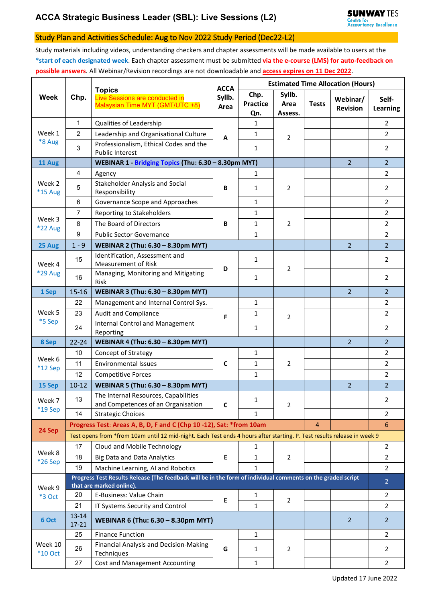# **ACCA Strategic Business Leader (SBL): Live Sessions (L2)**

### Study Plan and Activities Schedule: Aug to Nov 2022 Study Period (Dec22-L2)

Study materials including videos, understanding checkers and chapter assessments will be made available to users at the **\*start of each designated week**. Each chapter assessment must be submitted **via the e-course (LMS) for auto-feedback on possible answers**. All Webinar/Revision recordings are not downloadable and **access expires on 11 Dec 2022**.

| <b>Week</b>          | Chp.                                                                                                                                    | <b>Topics</b><br>Live Sessions are conducted in<br>Malaysian Time MYT (GMT/UTC +8) | <b>ACCA</b><br>Syllb.<br>Area | <b>Estimated Time Allocation (Hours)</b> |                           |                |                             |                   |  |  |
|----------------------|-----------------------------------------------------------------------------------------------------------------------------------------|------------------------------------------------------------------------------------|-------------------------------|------------------------------------------|---------------------------|----------------|-----------------------------|-------------------|--|--|
|                      |                                                                                                                                         |                                                                                    |                               | Chp.<br><b>Practice</b><br>Qn.           | Syllb.<br>Area<br>Assess. | <b>Tests</b>   | Webinar/<br><b>Revision</b> | Self-<br>Learning |  |  |
|                      | $\mathbf{1}$                                                                                                                            | Qualities of Leadership                                                            | A                             | $\mathbf{1}$                             |                           |                |                             | $\overline{2}$    |  |  |
| Week 1<br>*8 Aug     | 2                                                                                                                                       | Leadership and Organisational Culture                                              |                               | $\mathbf{1}$                             | $\overline{2}$            |                |                             | $\overline{2}$    |  |  |
|                      | 3                                                                                                                                       | Professionalism, Ethical Codes and the<br><b>Public Interest</b>                   |                               | $\mathbf{1}$                             |                           |                |                             | $\overline{2}$    |  |  |
| 11 Aug               |                                                                                                                                         | WEBINAR 1 - Bridging Topics (Thu: 6.30 - 8.30pm MYT)                               |                               |                                          |                           |                | $\overline{2}$              | $\overline{2}$    |  |  |
| Week 2<br>*15 Aug    | 4                                                                                                                                       | Agency                                                                             | B                             | $\mathbf{1}$                             | $\overline{2}$            |                |                             | $\overline{2}$    |  |  |
|                      | 5                                                                                                                                       | Stakeholder Analysis and Social<br>Responsibility                                  |                               | $\mathbf{1}$                             |                           |                |                             | $\overline{2}$    |  |  |
|                      | 6                                                                                                                                       | Governance Scope and Approaches                                                    |                               | $\mathbf{1}$                             |                           |                |                             | $\overline{2}$    |  |  |
|                      | $\overline{7}$                                                                                                                          | Reporting to Stakeholders                                                          | B                             | 1                                        | $\overline{2}$            |                |                             | $\overline{2}$    |  |  |
| Week 3               | 8                                                                                                                                       | The Board of Directors                                                             |                               | $\mathbf{1}$                             |                           |                |                             | $\overline{2}$    |  |  |
| <b>*22 Aug</b>       | 9                                                                                                                                       | <b>Public Sector Governance</b>                                                    |                               | $\mathbf{1}$                             |                           |                |                             | $\overline{2}$    |  |  |
| 25 Aug               | $1 - 9$                                                                                                                                 | WEBINAR 2 (Thu: 6.30 - 8.30pm MYT)                                                 |                               |                                          |                           |                | $\overline{2}$              | $\overline{2}$    |  |  |
| Week 4<br>*29 Aug    | 15                                                                                                                                      | Identification, Assessment and<br><b>Measurement of Risk</b>                       | D                             | $\mathbf{1}$                             | $\overline{2}$            |                |                             | $\overline{2}$    |  |  |
|                      | 16                                                                                                                                      | Managing, Monitoring and Mitigating<br><b>Risk</b>                                 |                               | 1                                        |                           |                |                             | 2                 |  |  |
| 1 Sep                | $15 - 16$                                                                                                                               | WEBINAR 3 (Thu: 6.30 - 8.30pm MYT)                                                 |                               |                                          |                           |                | $\overline{2}$              | $\overline{2}$    |  |  |
|                      | 22                                                                                                                                      | Management and Internal Control Sys.                                               | F                             | 1                                        | $\overline{2}$            |                |                             | $\overline{2}$    |  |  |
| Week 5               | 23                                                                                                                                      | Audit and Compliance                                                               |                               | 1                                        |                           |                |                             | $\overline{2}$    |  |  |
| *5 Sep               | 24                                                                                                                                      | <b>Internal Control and Management</b><br>Reporting                                |                               | $\mathbf{1}$                             |                           |                |                             | $\overline{2}$    |  |  |
| 8 Sep                | $22 - 24$                                                                                                                               | WEBINAR 4 (Thu: 6.30 - 8.30pm MYT)                                                 |                               |                                          |                           |                | $\overline{2}$              | $\overline{2}$    |  |  |
|                      | 10                                                                                                                                      | Concept of Strategy                                                                | C                             | $\mathbf{1}$                             | $\overline{2}$            |                |                             | $\overline{2}$    |  |  |
| Week 6<br>$*12$ Sep  | 11                                                                                                                                      | <b>Environmental Issues</b>                                                        |                               | $\mathbf{1}$                             |                           |                |                             | $\overline{2}$    |  |  |
|                      | 12                                                                                                                                      | <b>Competitive Forces</b>                                                          |                               | $\mathbf{1}$                             |                           |                |                             | $\overline{2}$    |  |  |
| 15 Sep               | $10 - 12$                                                                                                                               | WEBINAR 5 (Thu: 6.30 - 8.30pm MYT)                                                 |                               |                                          |                           |                | $\overline{2}$              | $\overline{2}$    |  |  |
| Week 7               | 13                                                                                                                                      | The Internal Resources, Capabilities<br>and Competences of an Organisation         | C                             | 1                                        | 2                         |                |                             | 2                 |  |  |
| *19 Sep              | 14                                                                                                                                      | <b>Strategic Choices</b>                                                           |                               | 1                                        |                           |                |                             | $\overline{2}$    |  |  |
| 24 Sep               |                                                                                                                                         | Progress Test: Areas A, B, D, F and C (Chp 10-12), Sat: *from 10am                 |                               |                                          |                           | $\overline{4}$ |                             | 6                 |  |  |
|                      | Test opens from *from 10am until 12 mid-night. Each Test ends 4 hours after starting. P. Test results release in week 9                 |                                                                                    |                               |                                          |                           |                |                             |                   |  |  |
|                      | 17                                                                                                                                      | Cloud and Mobile Technology                                                        | E                             | $\mathbf{1}$                             | $\overline{2}$            |                |                             | $\overline{2}$    |  |  |
| Week 8<br>*26 Sep    | 18                                                                                                                                      | <b>Big Data and Data Analytics</b>                                                 |                               | 1                                        |                           |                |                             | $\overline{2}$    |  |  |
|                      | 19                                                                                                                                      | Machine Learning, AI and Robotics                                                  |                               | $\mathbf{1}$                             |                           |                |                             | $\overline{2}$    |  |  |
| Week 9               | Progress Test Results Release (The feedback will be in the form of individual comments on the graded script<br>that are marked online). |                                                                                    |                               |                                          |                           |                |                             | $\overline{2}$    |  |  |
| *3 Oct               | 20                                                                                                                                      | E-Business: Value Chain                                                            | E                             | 1                                        | $\overline{2}$            |                |                             | 2                 |  |  |
|                      | 21                                                                                                                                      | IT Systems Security and Control                                                    |                               | 1                                        |                           |                |                             | $\overline{2}$    |  |  |
| 6 Oct                | 13-14<br>$17 - 21$                                                                                                                      | WEBINAR 6 (Thu: 6.30 - 8.30pm MYT)                                                 |                               |                                          |                           |                | $\overline{2}$              | $\overline{2}$    |  |  |
| Week 10<br>$*10$ Oct | 25                                                                                                                                      | <b>Finance Function</b>                                                            |                               | $\mathbf{1}$                             | 2                         |                |                             | $\overline{2}$    |  |  |
|                      | 26                                                                                                                                      | Financial Analysis and Decision-Making<br>Techniques                               | G                             | $\mathbf{1}$                             |                           |                |                             | $\overline{2}$    |  |  |
|                      | 27                                                                                                                                      | Cost and Management Accounting                                                     |                               | $\mathbf{1}$                             |                           |                |                             | $\overline{2}$    |  |  |